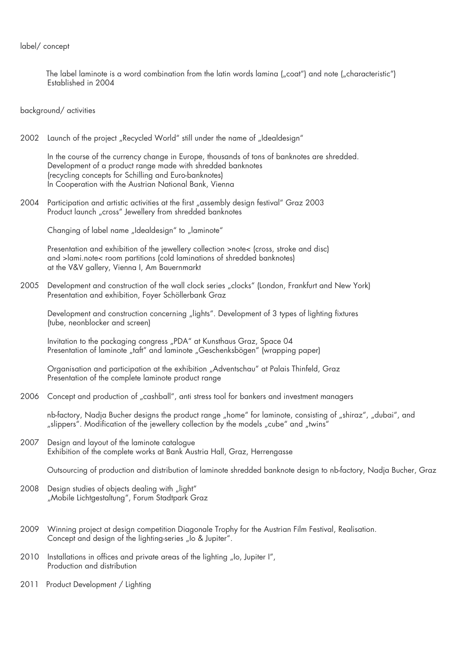## label/ concept

The label laminote is a word combination from the latin words lamina  $\ell_{\nu}$ coat") and note  $\ell_{\nu}$ characteristic") Established in 2004

background/ activities

2002 Launch of the project "Recycled World" still under the name of "Idealdesign"

 In the course of the currency change in Europe, thousands of tons of banknotes are shredded. Development of a product range made with shredded banknotes (recycling concepts for Schilling and Euro-banknotes) In Cooperation with the Austrian National Bank, Vienna

2004 Participation and artistic activities at the first "assembly design festival" Graz 2003 Product launch "cross" Jewellery from shredded banknotes

Changing of label name "Idealdesign" to "laminote"

 Presentation and exhibition of the jewellery collection >note< (cross, stroke and disc) and >lami.note< room partitions (cold laminations of shredded banknotes) at the V&V gallery, Vienna I, Am Bauernmarkt

2005 Development and construction of the wall clock series "clocks" (London, Frankfurt and New York) Presentation and exhibition, Foyer Schöllerbank Graz

Development and construction concerning "lights". Development of 3 types of lighting fixtures (tube, neonblocker and screen)

Invitation to the packaging congress "PDA" at Kunsthaus Graz, Space 04 Presentation of laminote "taft" and laminote "Geschenksbögen" (wrapping paper)

Organisation and participation at the exhibition "Adventschau" at Palais Thinfeld, Graz Presentation of the complete laminote product range

2006 Concept and production of "cashball", anti stress tool for bankers and investment managers

nb-factory, Nadja Bucher designs the product range "home" for laminote, consisting of "shiraz", "dubai", and "slippers". Modification of the jewellery collection by the models "cube" and "twins"

2007 Design and layout of the laminote catalogue Exhibition of the complete works at Bank Austria Hall, Graz, Herrengasse

Outsourcing of production and distribution of laminote shredded banknote design to nb-factory, Nadja Bucher, Graz

- 2008 Design studies of objects dealing with "light" "Mobile Lichtgestaltung", Forum Stadtpark Graz
- 2009 Winning project at design competition Diagonale Trophy for the Austrian Film Festival, Realisation. Concept and design of the lighting-series "Io & Jupiter".
- 2010 Installations in offices and private areas of the lighting "Io, Jupiter I", Production and distribution
- 2011 Product Development / Lighting